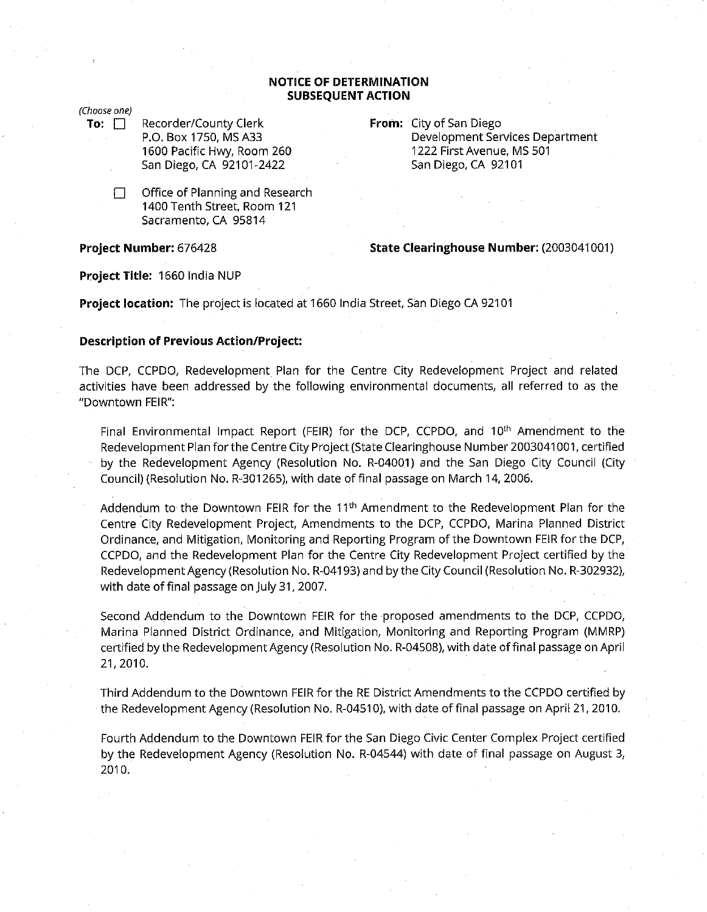## **NOTICE OF DETERMINATION SUBSEQUENT ACTION**

(Choose one)

- **To:** □ Recorder/County Clerk P.O. Box 1750, MS A33 1600 Pacific Hwy, Room 260 San Diego, CA 92101-2422
	- $\Box$  Office of Planning and Research 1400 Tenth Street, Room 121 Sacramento, CA 95814

**Project Number:** 676428

**From:** City of San Diego Development Services Department 1222 First Avenue, MS 501 San Diego, CA 92101

## **State Clearinghouse Number:** (2003041001)

**Project Title:** 1660 India NUP

**Project location:** The project is located at 1660 India Street, San Diego CA 92101

## **Description of Previous Action/Project:**

The DCP, CCPDO, Redevelopment Plan for the Centre City Redevelopment Project and related activities have been addressed by the following environmental documents, all referred to as the "Downtown FEIR":

Final Environmental Impact Report (FEIR) for the DCP, CCPDO, and 10<sup>th</sup> Amendment to the Redevelopment Plan for the Centre City Project (State Clearinghouse Number 2003041001, certified by the Redevelopment Agency (Resolution No. R-04001) and the San Diego City Council (City Council) (Resolution No. R-301265), with date of final passage on March 14, 2006.

Addendum to the Downtown FEIR for the 11<sup>th</sup> Amendment to the Redevelopment Plan for the Centre City Redevelopment Project, Amendments to the DCP, CCPDO, Marina Planned District Ordinance, and Mitigation, Monitoring and Reporting Program of the Downtown FEIR for the DCP, CCPDO, and the Redevelopment Plan for the Centre City Redevelopment Project certified by the Redevelopment Agency (Resolution No. R-04193) and by the City Council (Resolution No. R-302932), with date of final passage on July 31, 2007.

Second Addendum to the Downtown FEIR for the proposed amendments to the DCP, CCPDO, Marina Planned District Ordinance, and Mitigation, Monitoring and Reporting Program (MMRP) certified by the Redevelopment Agency (Resolution No. R-04508), with date offinal passage on April 21, 2010.

Third Addendum to the Downtown FEIR for the RE District Amendments to the CCPDO certified by the Redevelopment Agency (Resolution No. R-04510), with date of final passage on April 21, 2010.

Fourth Addendum to the Downtown FEIR for the San Diego Civic Center Complex Project certified by the Redevelopment Agency (Resolution No. R-04544) with date of final passage on August 3, 2010.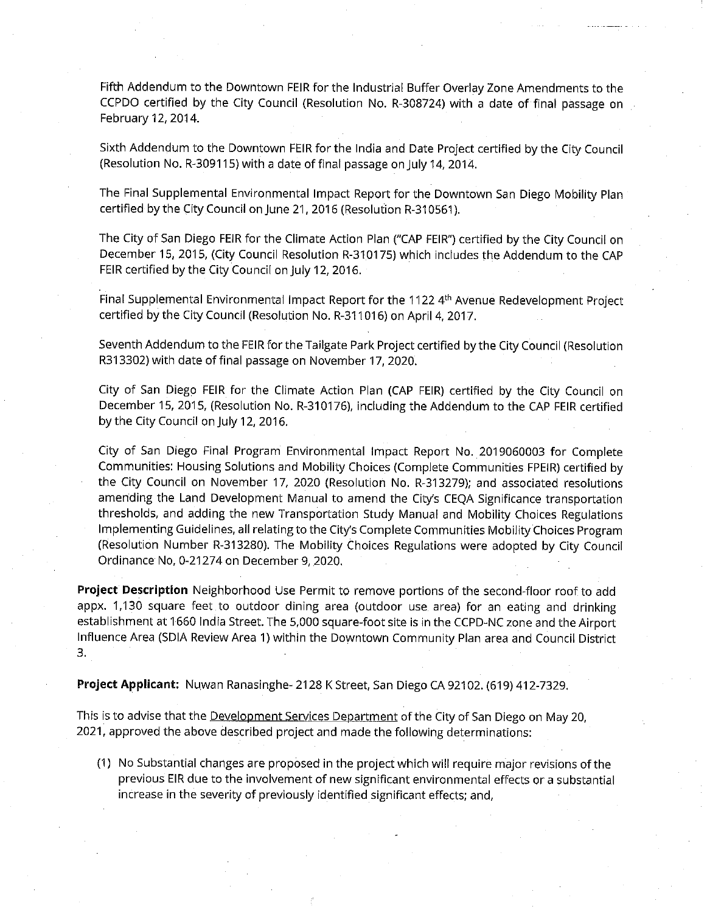Fifth Addendum to the Downtown FEIR for the Industrial Buffer Overlay Zone Amendments to the CCPDO certified by the City Council (Resolution No. R-308724) with a date of final passage on February 12, 2014.

Sixth Addendum to the Downtown FEIR for the India and Date Project certified by the City Council (Resolution No. R-309115) with a date of final passage on July 14, 2014.

The Final Supplemental Environmental Impact Report for the Downtown San Diego Mobility Plan certified by the City Council on June 21, 2016 (Resolution R-310561 ).

The City of San Diego FEIR for the Climate Action Plan ("CAP FEIR") certified by the City Council on December 15, 2015, (City Council Resolution R-310175) which includes the Addendum to the CAP FEIR certified by the City Council on July 12, 2016.

Final Supplemental Environmental Impact Report for the 1122 4<sup>th</sup> Avenue Redevelopment Project certified by the City Council (Resolution No. R-311016) on April 4, 2017.

Seventh Addendum to the FEIR for the Tailgate Park Project certified by the City Council (Resolution R313302) with date of final passage on November 17, 2020.

City of San Diego FEIR for the Climate Action Plan (CAP FEIR) certified by the City Council on December 15, 2015, (Resolution No. R-310176), including the Addendum to the CAP FEIR certified by the City Council on July 12, 2016.

City of San Diego Final Program Environmental Impact Report No. 2019060003 for Complete Communities: Housing Solutions and Mobility Choices (Complete Communities FPEIR) certified by the City Council on November 17, 2020 (Resolution No. R-313279); and associated resolutions amending the Land Development Manual to amend the City's CEQA Significance transportation thresholds, and adding the new Transportation Study Manual and Mobility Choices Regulations Implementing Guidelines, all relating to the City's Complete Communities Mobility Choices Program (Resolution Number R-313280). The Mobility Choices Regulations were adopted by City Council Ordinance No, 0-21274 on December 9, 2020.

**Project Description** Neighborhood Use Permit to remove portions of the second-floor roof to add appx. 1,130 square feet to outdoor dining area (outdoor use area) for an eating and drinking establishment at 1660 India Street. The 5,000 square-foot site is in the CCPD-NC zone and the Airport Influence Area (SDIA Review Area 1) within the Downtown Community Plan area and Council District 3.

**Project Applicant:** Nuwan Ranasinghe-2128 K Street, San Diego CA 92102. (619) 412-7329.

This is to advise that the Development Services Department of the City of San Diego on May 20, 2021, approved the above described project and made the following determinations:

(1) No Substantial changes are proposed in the project which will require major revisions of the previous EIR due to the involvement of new significant environmental effects or a substantial increase in the severity of previously identified significant effects; and,